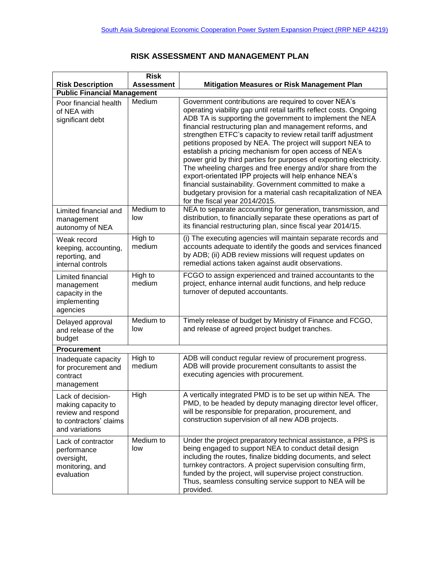|                                                                                                           | <b>Risk</b>       |                                                                                                                                                                                                                                                                                                                                                                                                                                                                                                                                                                                                                                                                                                                                                                                                             |  |  |
|-----------------------------------------------------------------------------------------------------------|-------------------|-------------------------------------------------------------------------------------------------------------------------------------------------------------------------------------------------------------------------------------------------------------------------------------------------------------------------------------------------------------------------------------------------------------------------------------------------------------------------------------------------------------------------------------------------------------------------------------------------------------------------------------------------------------------------------------------------------------------------------------------------------------------------------------------------------------|--|--|
| <b>Risk Description</b>                                                                                   | <b>Assessment</b> | <b>Mitigation Measures or Risk Management Plan</b>                                                                                                                                                                                                                                                                                                                                                                                                                                                                                                                                                                                                                                                                                                                                                          |  |  |
| <b>Public Financial Management</b>                                                                        |                   |                                                                                                                                                                                                                                                                                                                                                                                                                                                                                                                                                                                                                                                                                                                                                                                                             |  |  |
| Poor financial health<br>of NEA with<br>significant debt                                                  | Medium            | Government contributions are required to cover NEA's<br>operating viability gap until retail tariffs reflect costs. Ongoing<br>ADB TA is supporting the government to implement the NEA<br>financial restructuring plan and management reforms, and<br>strengthen ETFC's capacity to review retail tariff adjustment<br>petitions proposed by NEA. The project will support NEA to<br>establish a pricing mechanism for open access of NEA's<br>power grid by third parties for purposes of exporting electricity.<br>The wheeling charges and free energy and/or share from the<br>export-orientated IPP projects will help enhance NEA's<br>financial sustainability. Government committed to make a<br>budgetary provision for a material cash recapitalization of NEA<br>for the fiscal year 2014/2015. |  |  |
| Limited financial and<br>management<br>autonomy of NEA                                                    | Medium to<br>low  | NEA to separate accounting for generation, transmission, and<br>distribution, to financially separate these operations as part of<br>its financial restructuring plan, since fiscal year 2014/15.                                                                                                                                                                                                                                                                                                                                                                                                                                                                                                                                                                                                           |  |  |
| Weak record<br>keeping, accounting,<br>reporting, and<br>internal controls                                | High to<br>medium | (i) The executing agencies will maintain separate records and<br>accounts adequate to identify the goods and services financed<br>by ADB; (ii) ADB review missions will request updates on<br>remedial actions taken against audit observations.                                                                                                                                                                                                                                                                                                                                                                                                                                                                                                                                                            |  |  |
| Limited financial<br>management<br>capacity in the<br>implementing<br>agencies                            | High to<br>medium | FCGO to assign experienced and trained accountants to the<br>project, enhance internal audit functions, and help reduce<br>turnover of deputed accountants.                                                                                                                                                                                                                                                                                                                                                                                                                                                                                                                                                                                                                                                 |  |  |
| Delayed approval<br>and release of the<br>budget                                                          | Medium to<br>low  | Timely release of budget by Ministry of Finance and FCGO,<br>and release of agreed project budget tranches.                                                                                                                                                                                                                                                                                                                                                                                                                                                                                                                                                                                                                                                                                                 |  |  |
| <b>Procurement</b>                                                                                        |                   |                                                                                                                                                                                                                                                                                                                                                                                                                                                                                                                                                                                                                                                                                                                                                                                                             |  |  |
| Inadequate capacity<br>for procurement and<br>contract<br>management                                      | High to<br>medium | ADB will conduct regular review of procurement progress.<br>ADB will provide procurement consultants to assist the<br>executing agencies with procurement.                                                                                                                                                                                                                                                                                                                                                                                                                                                                                                                                                                                                                                                  |  |  |
| Lack of decision-<br>making capacity to<br>review and respond<br>to contractors' claims<br>and variations | High              | A vertically integrated PMD is to be set up within NEA. The<br>PMD, to be headed by deputy managing director level officer,<br>will be responsible for preparation, procurement, and<br>construction supervision of all new ADB projects.                                                                                                                                                                                                                                                                                                                                                                                                                                                                                                                                                                   |  |  |
| Lack of contractor<br>performance<br>oversight,<br>monitoring, and<br>evaluation                          | Medium to<br>low  | Under the project preparatory technical assistance, a PPS is<br>being engaged to support NEA to conduct detail design<br>including the routes, finalize bidding documents, and select<br>turnkey contractors. A project supervision consulting firm,<br>funded by the project, will supervise project construction.<br>Thus, seamless consulting service support to NEA will be<br>provided.                                                                                                                                                                                                                                                                                                                                                                                                                |  |  |

## **RISK ASSESSMENT AND MANAGEMENT PLAN**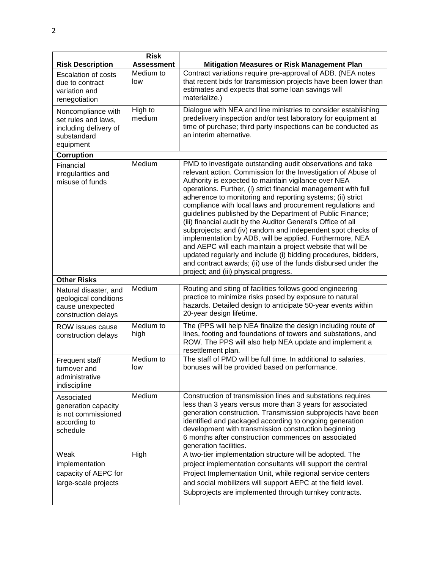| <b>Risk Description</b>                                                                        | <b>Risk</b><br>Assessment | <b>Mitigation Measures or Risk Management Plan</b>                                                                                                                                                                                                                                                                                                                                                                                                                                                                                                                                                                                                                                                                                                                                                                                                                                   |
|------------------------------------------------------------------------------------------------|---------------------------|--------------------------------------------------------------------------------------------------------------------------------------------------------------------------------------------------------------------------------------------------------------------------------------------------------------------------------------------------------------------------------------------------------------------------------------------------------------------------------------------------------------------------------------------------------------------------------------------------------------------------------------------------------------------------------------------------------------------------------------------------------------------------------------------------------------------------------------------------------------------------------------|
| <b>Escalation of costs</b><br>due to contract<br>variation and<br>renegotiation                | Medium to<br>low          | Contract variations require pre-approval of ADB. (NEA notes<br>that recent bids for transmission projects have been lower than<br>estimates and expects that some loan savings will<br>materialize.)                                                                                                                                                                                                                                                                                                                                                                                                                                                                                                                                                                                                                                                                                 |
| Noncompliance with<br>set rules and laws,<br>including delivery of<br>substandard<br>equipment | High to<br>medium         | Dialogue with NEA and line ministries to consider establishing<br>predelivery inspection and/or test laboratory for equipment at<br>time of purchase; third party inspections can be conducted as<br>an interim alternative.                                                                                                                                                                                                                                                                                                                                                                                                                                                                                                                                                                                                                                                         |
| Corruption                                                                                     |                           |                                                                                                                                                                                                                                                                                                                                                                                                                                                                                                                                                                                                                                                                                                                                                                                                                                                                                      |
| Financial<br>irregularities and<br>misuse of funds                                             | Medium                    | PMD to investigate outstanding audit observations and take<br>relevant action. Commission for the Investigation of Abuse of<br>Authority is expected to maintain vigilance over NEA<br>operations. Further, (i) strict financial management with full<br>adherence to monitoring and reporting systems; (ii) strict<br>compliance with local laws and procurement regulations and<br>guidelines published by the Department of Public Finance;<br>(iii) financial audit by the Auditor General's Office of all<br>subprojects; and (iv) random and independent spot checks of<br>implementation by ADB, will be applied. Furthermore, NEA<br>and AEPC will each maintain a project website that will be<br>updated regularly and include (i) bidding procedures, bidders,<br>and contract awards; (ii) use of the funds disbursed under the<br>project; and (iii) physical progress. |
| <b>Other Risks</b>                                                                             |                           |                                                                                                                                                                                                                                                                                                                                                                                                                                                                                                                                                                                                                                                                                                                                                                                                                                                                                      |
| Natural disaster, and<br>geological conditions<br>cause unexpected<br>construction delays      | Medium                    | Routing and siting of facilities follows good engineering<br>practice to minimize risks posed by exposure to natural<br>hazards. Detailed design to anticipate 50-year events within<br>20-year design lifetime.                                                                                                                                                                                                                                                                                                                                                                                                                                                                                                                                                                                                                                                                     |
| ROW issues cause<br>construction delays                                                        | Medium to<br>high         | The (PPS will help NEA finalize the design including route of<br>lines, footing and foundations of towers and substations, and<br>ROW. The PPS will also help NEA update and implement a<br>resettlement plan.                                                                                                                                                                                                                                                                                                                                                                                                                                                                                                                                                                                                                                                                       |
| Frequent staff<br>turnover and<br>administrative<br>indiscipline                               | Medium to<br>low          | The staff of PMD will be full time. In additional to salaries,<br>bonuses will be provided based on performance.                                                                                                                                                                                                                                                                                                                                                                                                                                                                                                                                                                                                                                                                                                                                                                     |
| Associated<br>generation capacity<br>is not commissioned<br>according to<br>schedule           | Medium                    | Construction of transmission lines and substations requires<br>less than 3 years versus more than 3 years for associated<br>generation construction. Transmission subprojects have been<br>identified and packaged according to ongoing generation<br>development with transmission construction beginning<br>6 months after construction commences on associated<br>generation facilities.                                                                                                                                                                                                                                                                                                                                                                                                                                                                                          |
| Weak<br>implementation<br>capacity of AEPC for<br>large-scale projects                         | High                      | A two-tier implementation structure will be adopted. The<br>project implementation consultants will support the central<br>Project Implementation Unit, while regional service centers<br>and social mobilizers will support AEPC at the field level.<br>Subprojects are implemented through turnkey contracts.                                                                                                                                                                                                                                                                                                                                                                                                                                                                                                                                                                      |